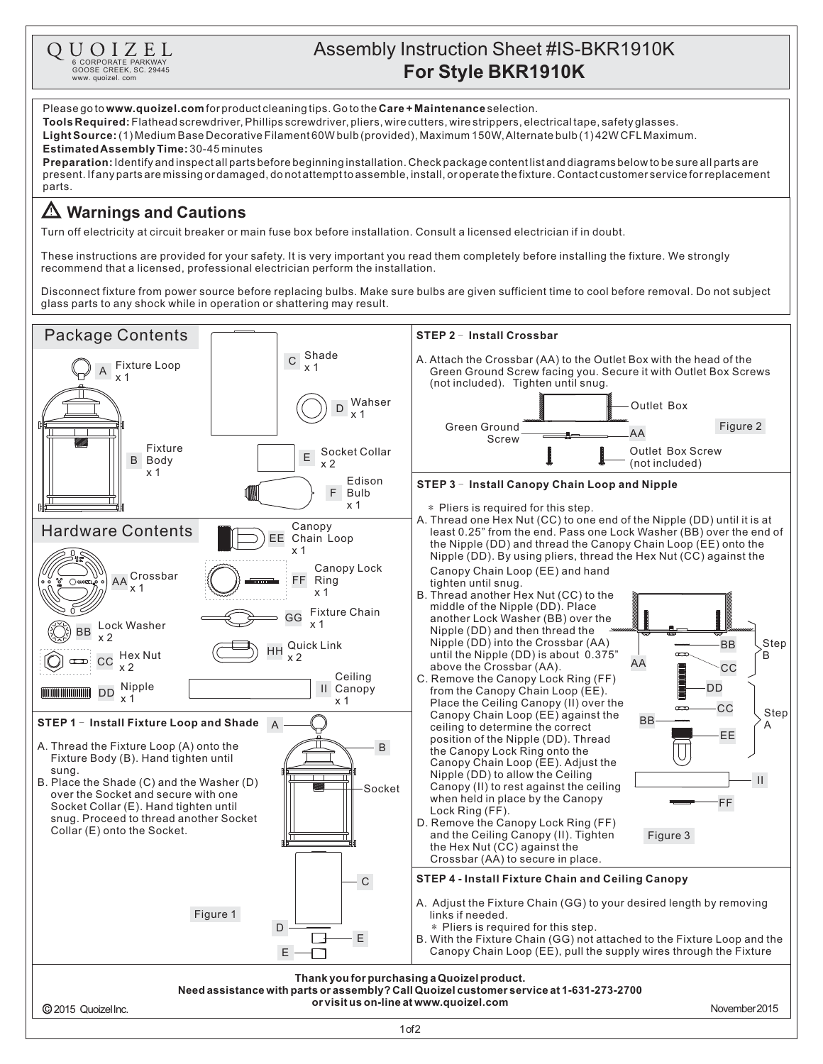

**Preparation:** Identify and inspectall parts before beginning installation. Check package content list and diagrams below to be sure all parts are present.Ifanypartsaremissingordamaged,donotattempttoassemble,install,oroperatethefixture.Contactcustomerserviceforreplacement parts.

## **Warnings and Cautions**

Turn off electricity at circuit breaker or main fuse box before installation. Consult a licensed electrician if in doubt.

These instructions are provided for your safety. It is very important you read them completely before installing the fixture. We strongly recommend that a licensed, professional electrician perform the installation.

Disconnect fixture from power source before replacing bulbs. Make sure bulbs are given sufficient time to cool before removal. Do not subject glass parts to any shock while in operation or shattering may result.